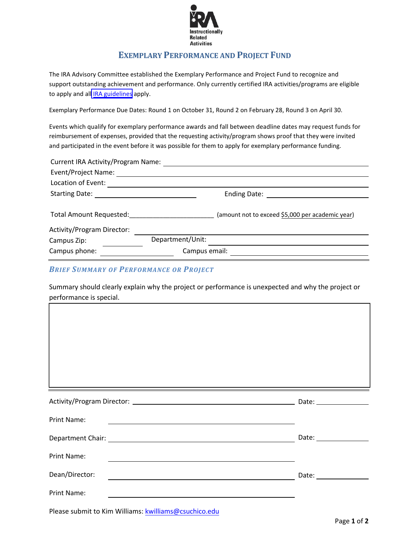

## **EXEMPLARY PERFORMANCE AND PROJECT FUND**

The IRA Advisory Committee established the Exemplary Performance and Project Fund to recognize and support outstanding achievement and performance. Only currently certified IRA activities/programs are eligible to apply and all **IRA** guidelines apply.

Exemplary Performance Due Dates: Round 1 on October 31, Round 2 on February 28, Round 3 on April 30.

 Events which qualify for exemplary performance awards and fall between deadline dates may request funds for reimbursement of expenses, provided that the requesting activity/program shows proof that they were invited and participated in the event before it was possible for them to apply for exemplary performance funding.

| Ending Date:                                                                                        |
|-----------------------------------------------------------------------------------------------------|
|                                                                                                     |
| Total Amount Requested: Total Amount Requested:<br>(amount not to exceed \$5,000 per academic year) |
|                                                                                                     |
| Department/Unit:                                                                                    |
| Campus email:                                                                                       |
|                                                                                                     |

## *BRIEF SUMMARY OF PERFORMANCE OR PROJECT*

Summary should clearly explain why the project or performance is unexpected and why the project or performance is special.

| Activity/Program Director: 2008 2010 2021 2022 2023 2024 2024 2022 2023 2024 2022 2023 2024 2022 2023 2024 20 |                                                                                                                       | Date: __________________ |
|---------------------------------------------------------------------------------------------------------------|-----------------------------------------------------------------------------------------------------------------------|--------------------------|
| Print Name:                                                                                                   | <u> 1989 - John Stein, september 1989 - John Stein, september 1989 - John Stein, september 1989 - John Stein, sep</u> |                          |
|                                                                                                               |                                                                                                                       |                          |
| Print Name:                                                                                                   |                                                                                                                       |                          |
| Dean/Director:                                                                                                |                                                                                                                       |                          |
| Print Name:                                                                                                   |                                                                                                                       |                          |

Please submit to Kim Williams: [kwilliams@csuchico.edu](mailto:kwilliams@csuchico.edu)